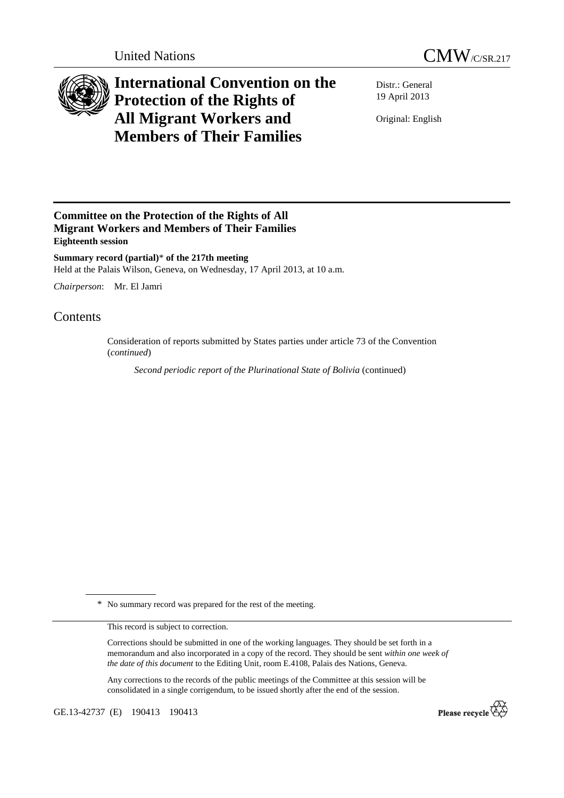



## **International Convention on the Protection of the Rights of All Migrant Workers and Members of Their Families**

Distr.: General 19 April 2013

Original: English

## **Committee on the Protection of the Rights of All Migrant Workers and Members of Their Families Eighteenth session**

**Summary record (partial)**\* **of the 217th meeting**  Held at the Palais Wilson, Geneva, on Wednesday, 17 April 2013, at 10 a.m.

*Chairperson*: Mr. El Jamri

## Contents

Consideration of reports submitted by States parties under article 73 of the Convention (*continued*)

*Second periodic report of the Plurinational State of Bolivia* (continued)

\* No summary record was prepared for the rest of the meeting.

This record is subject to correction.

Corrections should be submitted in one of the working languages. They should be set forth in a memorandum and also incorporated in a copy of the record. They should be sent *within one week of the date of this document* to the Editing Unit, room E.4108, Palais des Nations, Geneva.

Any corrections to the records of the public meetings of the Committee at this session will be consolidated in a single corrigendum, to be issued shortly after the end of the session.

GE.13-42737 (E) 190413 190413

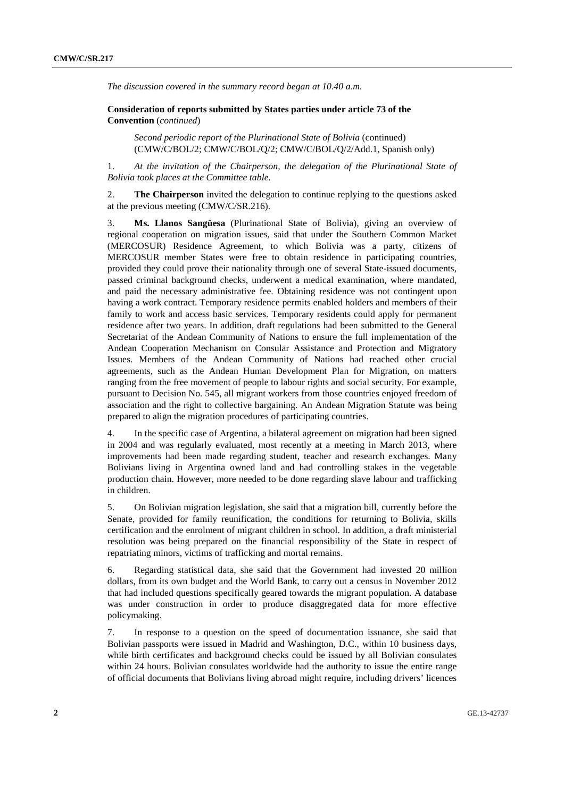*The discussion covered in the summary record began at 10.40 a.m.* 

 **Consideration of reports submitted by States parties under article 73 of the Convention** (*continued*)

*Second periodic report of the Plurinational State of Bolivia* (continued) (CMW/C/BOL/2; CMW/C/BOL/Q/2; CMW/C/BOL/Q/2/Add.1, Spanish only)

1. *At the invitation of the Chairperson, the delegation of the Plurinational State of Bolivia took places at the Committee table.* 

2. **The Chairperson** invited the delegation to continue replying to the questions asked at the previous meeting (CMW/C/SR.216).

3. **Ms. Llanos Sangüesa** (Plurinational State of Bolivia), giving an overview of regional cooperation on migration issues, said that under the Southern Common Market (MERCOSUR) Residence Agreement, to which Bolivia was a party, citizens of MERCOSUR member States were free to obtain residence in participating countries, provided they could prove their nationality through one of several State-issued documents, passed criminal background checks, underwent a medical examination, where mandated, and paid the necessary administrative fee. Obtaining residence was not contingent upon having a work contract. Temporary residence permits enabled holders and members of their family to work and access basic services. Temporary residents could apply for permanent residence after two years. In addition, draft regulations had been submitted to the General Secretariat of the Andean Community of Nations to ensure the full implementation of the Andean Cooperation Mechanism on Consular Assistance and Protection and Migratory Issues. Members of the Andean Community of Nations had reached other crucial agreements, such as the Andean Human Development Plan for Migration, on matters ranging from the free movement of people to labour rights and social security. For example, pursuant to Decision No. 545, all migrant workers from those countries enjoyed freedom of association and the right to collective bargaining. An Andean Migration Statute was being prepared to align the migration procedures of participating countries.

4. In the specific case of Argentina, a bilateral agreement on migration had been signed in 2004 and was regularly evaluated, most recently at a meeting in March 2013, where improvements had been made regarding student, teacher and research exchanges. Many Bolivians living in Argentina owned land and had controlling stakes in the vegetable production chain. However, more needed to be done regarding slave labour and trafficking in children.

5. On Bolivian migration legislation, she said that a migration bill, currently before the Senate, provided for family reunification, the conditions for returning to Bolivia, skills certification and the enrolment of migrant children in school. In addition, a draft ministerial resolution was being prepared on the financial responsibility of the State in respect of repatriating minors, victims of trafficking and mortal remains.

6. Regarding statistical data, she said that the Government had invested 20 million dollars, from its own budget and the World Bank, to carry out a census in November 2012 that had included questions specifically geared towards the migrant population. A database was under construction in order to produce disaggregated data for more effective policymaking.

7. In response to a question on the speed of documentation issuance, she said that Bolivian passports were issued in Madrid and Washington, D.C., within 10 business days, while birth certificates and background checks could be issued by all Bolivian consulates within 24 hours. Bolivian consulates worldwide had the authority to issue the entire range of official documents that Bolivians living abroad might require, including drivers' licences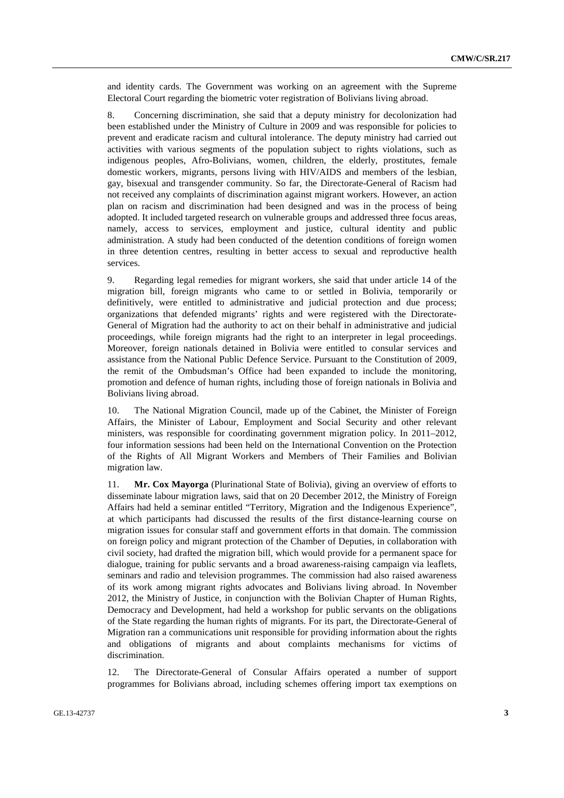and identity cards. The Government was working on an agreement with the Supreme Electoral Court regarding the biometric voter registration of Bolivians living abroad.

8. Concerning discrimination, she said that a deputy ministry for decolonization had been established under the Ministry of Culture in 2009 and was responsible for policies to prevent and eradicate racism and cultural intolerance. The deputy ministry had carried out activities with various segments of the population subject to rights violations, such as indigenous peoples, Afro-Bolivians, women, children, the elderly, prostitutes, female domestic workers, migrants, persons living with HIV/AIDS and members of the lesbian, gay, bisexual and transgender community. So far, the Directorate-General of Racism had not received any complaints of discrimination against migrant workers. However, an action plan on racism and discrimination had been designed and was in the process of being adopted. It included targeted research on vulnerable groups and addressed three focus areas, namely, access to services, employment and justice, cultural identity and public administration. A study had been conducted of the detention conditions of foreign women in three detention centres, resulting in better access to sexual and reproductive health services.

9. Regarding legal remedies for migrant workers, she said that under article 14 of the migration bill, foreign migrants who came to or settled in Bolivia, temporarily or definitively, were entitled to administrative and judicial protection and due process; organizations that defended migrants' rights and were registered with the Directorate-General of Migration had the authority to act on their behalf in administrative and judicial proceedings, while foreign migrants had the right to an interpreter in legal proceedings. Moreover, foreign nationals detained in Bolivia were entitled to consular services and assistance from the National Public Defence Service. Pursuant to the Constitution of 2009, the remit of the Ombudsman's Office had been expanded to include the monitoring, promotion and defence of human rights, including those of foreign nationals in Bolivia and Bolivians living abroad.

10. The National Migration Council, made up of the Cabinet, the Minister of Foreign Affairs, the Minister of Labour, Employment and Social Security and other relevant ministers, was responsible for coordinating government migration policy. In 2011–2012, four information sessions had been held on the International Convention on the Protection of the Rights of All Migrant Workers and Members of Their Families and Bolivian migration law.

11. **Mr. Cox Mayorga** (Plurinational State of Bolivia), giving an overview of efforts to disseminate labour migration laws, said that on 20 December 2012, the Ministry of Foreign Affairs had held a seminar entitled "Territory, Migration and the Indigenous Experience", at which participants had discussed the results of the first distance-learning course on migration issues for consular staff and government efforts in that domain. The commission on foreign policy and migrant protection of the Chamber of Deputies, in collaboration with civil society, had drafted the migration bill, which would provide for a permanent space for dialogue, training for public servants and a broad awareness-raising campaign via leaflets, seminars and radio and television programmes. The commission had also raised awareness of its work among migrant rights advocates and Bolivians living abroad. In November 2012, the Ministry of Justice, in conjunction with the Bolivian Chapter of Human Rights, Democracy and Development, had held a workshop for public servants on the obligations of the State regarding the human rights of migrants. For its part, the Directorate-General of Migration ran a communications unit responsible for providing information about the rights and obligations of migrants and about complaints mechanisms for victims of discrimination.

12. The Directorate-General of Consular Affairs operated a number of support programmes for Bolivians abroad, including schemes offering import tax exemptions on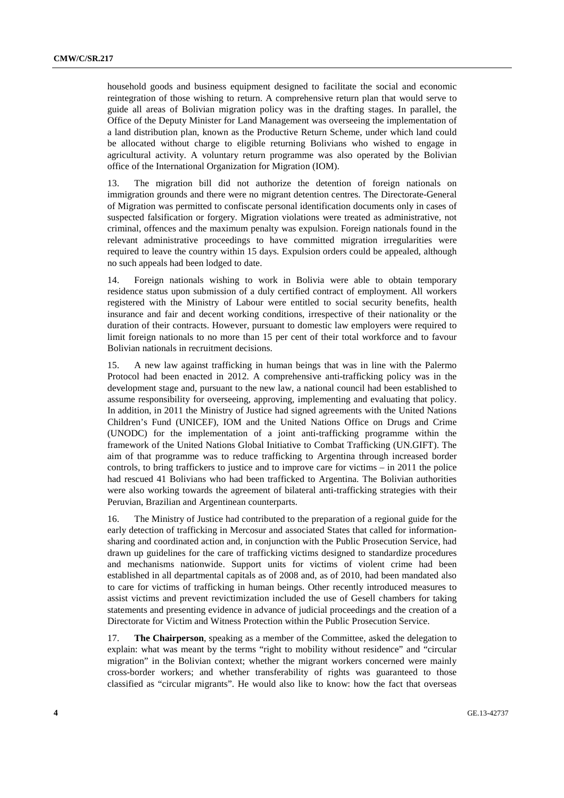household goods and business equipment designed to facilitate the social and economic reintegration of those wishing to return. A comprehensive return plan that would serve to guide all areas of Bolivian migration policy was in the drafting stages. In parallel, the Office of the Deputy Minister for Land Management was overseeing the implementation of a land distribution plan, known as the Productive Return Scheme, under which land could be allocated without charge to eligible returning Bolivians who wished to engage in agricultural activity. A voluntary return programme was also operated by the Bolivian office of the International Organization for Migration (IOM).

13. The migration bill did not authorize the detention of foreign nationals on immigration grounds and there were no migrant detention centres. The Directorate-General of Migration was permitted to confiscate personal identification documents only in cases of suspected falsification or forgery. Migration violations were treated as administrative, not criminal, offences and the maximum penalty was expulsion. Foreign nationals found in the relevant administrative proceedings to have committed migration irregularities were required to leave the country within 15 days. Expulsion orders could be appealed, although no such appeals had been lodged to date.

14. Foreign nationals wishing to work in Bolivia were able to obtain temporary residence status upon submission of a duly certified contract of employment. All workers registered with the Ministry of Labour were entitled to social security benefits, health insurance and fair and decent working conditions, irrespective of their nationality or the duration of their contracts. However, pursuant to domestic law employers were required to limit foreign nationals to no more than 15 per cent of their total workforce and to favour Bolivian nationals in recruitment decisions.

15. A new law against trafficking in human beings that was in line with the Palermo Protocol had been enacted in 2012. A comprehensive anti-trafficking policy was in the development stage and, pursuant to the new law, a national council had been established to assume responsibility for overseeing, approving, implementing and evaluating that policy. In addition, in 2011 the Ministry of Justice had signed agreements with the United Nations Children's Fund (UNICEF), IOM and the United Nations Office on Drugs and Crime (UNODC) for the implementation of a joint anti-trafficking programme within the framework of the United Nations Global Initiative to Combat Trafficking (UN.GIFT). The aim of that programme was to reduce trafficking to Argentina through increased border controls, to bring traffickers to justice and to improve care for victims – in 2011 the police had rescued 41 Bolivians who had been trafficked to Argentina. The Bolivian authorities were also working towards the agreement of bilateral anti-trafficking strategies with their Peruvian, Brazilian and Argentinean counterparts.

16. The Ministry of Justice had contributed to the preparation of a regional guide for the early detection of trafficking in Mercosur and associated States that called for informationsharing and coordinated action and, in conjunction with the Public Prosecution Service, had drawn up guidelines for the care of trafficking victims designed to standardize procedures and mechanisms nationwide. Support units for victims of violent crime had been established in all departmental capitals as of 2008 and, as of 2010, had been mandated also to care for victims of trafficking in human beings. Other recently introduced measures to assist victims and prevent revictimization included the use of Gesell chambers for taking statements and presenting evidence in advance of judicial proceedings and the creation of a Directorate for Victim and Witness Protection within the Public Prosecution Service.

17. **The Chairperson**, speaking as a member of the Committee, asked the delegation to explain: what was meant by the terms "right to mobility without residence" and "circular migration" in the Bolivian context; whether the migrant workers concerned were mainly cross-border workers; and whether transferability of rights was guaranteed to those classified as "circular migrants". He would also like to know: how the fact that overseas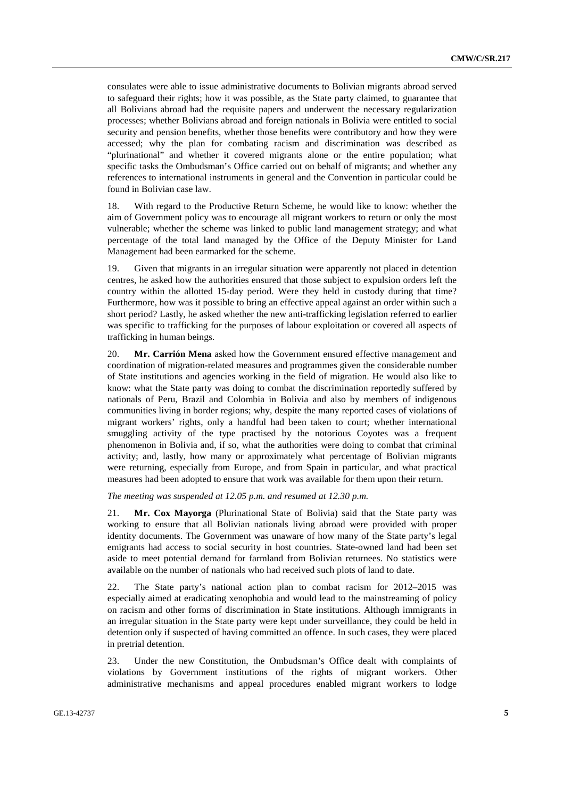consulates were able to issue administrative documents to Bolivian migrants abroad served to safeguard their rights; how it was possible, as the State party claimed, to guarantee that all Bolivians abroad had the requisite papers and underwent the necessary regularization processes; whether Bolivians abroad and foreign nationals in Bolivia were entitled to social security and pension benefits, whether those benefits were contributory and how they were accessed; why the plan for combating racism and discrimination was described as "plurinational" and whether it covered migrants alone or the entire population; what specific tasks the Ombudsman's Office carried out on behalf of migrants; and whether any references to international instruments in general and the Convention in particular could be found in Bolivian case law.

18. With regard to the Productive Return Scheme, he would like to know: whether the aim of Government policy was to encourage all migrant workers to return or only the most vulnerable; whether the scheme was linked to public land management strategy; and what percentage of the total land managed by the Office of the Deputy Minister for Land Management had been earmarked for the scheme.

19. Given that migrants in an irregular situation were apparently not placed in detention centres, he asked how the authorities ensured that those subject to expulsion orders left the country within the allotted 15-day period. Were they held in custody during that time? Furthermore, how was it possible to bring an effective appeal against an order within such a short period? Lastly, he asked whether the new anti-trafficking legislation referred to earlier was specific to trafficking for the purposes of labour exploitation or covered all aspects of trafficking in human beings.

20. **Mr. Carrión Mena** asked how the Government ensured effective management and coordination of migration-related measures and programmes given the considerable number of State institutions and agencies working in the field of migration. He would also like to know: what the State party was doing to combat the discrimination reportedly suffered by nationals of Peru, Brazil and Colombia in Bolivia and also by members of indigenous communities living in border regions; why, despite the many reported cases of violations of migrant workers' rights, only a handful had been taken to court; whether international smuggling activity of the type practised by the notorious Coyotes was a frequent phenomenon in Bolivia and, if so, what the authorities were doing to combat that criminal activity; and, lastly, how many or approximately what percentage of Bolivian migrants were returning, especially from Europe, and from Spain in particular, and what practical measures had been adopted to ensure that work was available for them upon their return.

*The meeting was suspended at 12.05 p.m. and resumed at 12.30 p.m.* 

21. **Mr. Cox Mayorga** (Plurinational State of Bolivia) said that the State party was working to ensure that all Bolivian nationals living abroad were provided with proper identity documents. The Government was unaware of how many of the State party's legal emigrants had access to social security in host countries. State-owned land had been set aside to meet potential demand for farmland from Bolivian returnees. No statistics were available on the number of nationals who had received such plots of land to date.

22. The State party's national action plan to combat racism for 2012–2015 was especially aimed at eradicating xenophobia and would lead to the mainstreaming of policy on racism and other forms of discrimination in State institutions. Although immigrants in an irregular situation in the State party were kept under surveillance, they could be held in detention only if suspected of having committed an offence. In such cases, they were placed in pretrial detention.

23. Under the new Constitution, the Ombudsman's Office dealt with complaints of violations by Government institutions of the rights of migrant workers. Other administrative mechanisms and appeal procedures enabled migrant workers to lodge